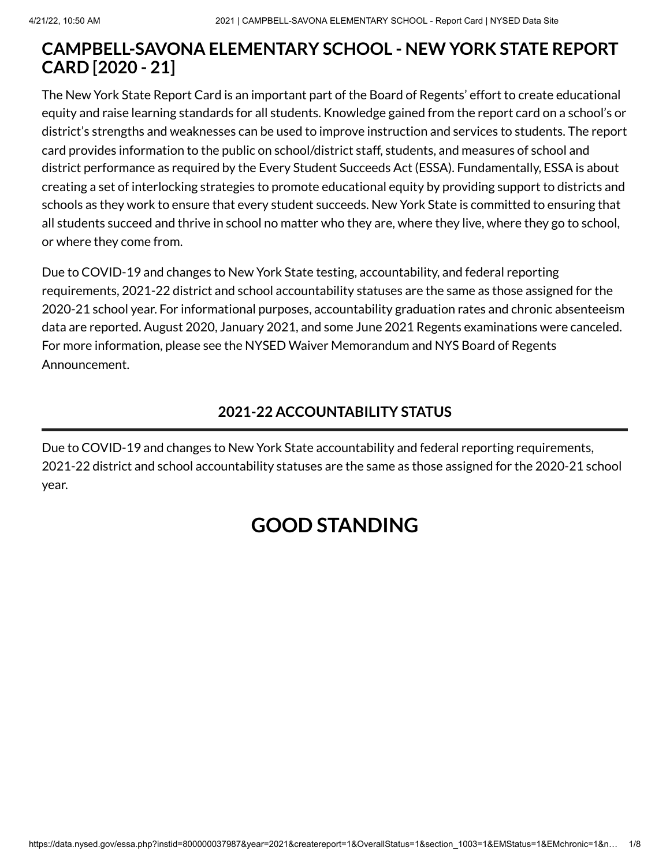# **CAMPBELL-SAVONA ELEMENTARY SCHOOL - NEW YORK STATE REPORT CARD [2020 - 21]**

The New York State Report Card is an important part of the Board of Regents' effort to create educational equity and raise learning standards for all students. Knowledge gained from the report card on a school's or district's strengths and weaknesses can be used to improve instruction and services to students. The report card provides information to the public on school/district staff, students, and measures of school and district performance as required by the Every Student Succeeds Act (ESSA). Fundamentally, ESSA is about creating a set of interlocking strategies to promote educational equity by providing support to districts and schools as they work to ensure that every student succeeds. New York State is committed to ensuring that all students succeed and thrive in school no matter who they are, where they live, where they go to school, or where they come from.

Due to COVID-19 and changes to New York State testing, accountability, and federal reporting requirements, 2021-22 district and school accountability statuses are the same as those assigned for the 2020-21 school year. For informational purposes, accountability graduation rates and chronic absenteeism data are reported. August 2020, January 2021, and some June 2021 Regents examinations were canceled. For more information, please see the NYSED Waiver [Memorandum](http://www.nysed.gov/memo/accountability/united-states-department-education-usde-waiver-every-student-succeeds-act-essa) and NYS Board of Regents [Announcement.](http://www.nysed.gov/news/2021/board-regents-acts-emergency-regulation-revisions-2021-diploma-requirements)

# **2021-22 ACCOUNTABILITY STATUS**

Due to COVID-19 and changes to New York State accountability and federal reporting requirements, 2021-22 district and school accountability statuses are the same as those assigned for the 2020-21 school year.

# **GOOD STANDING**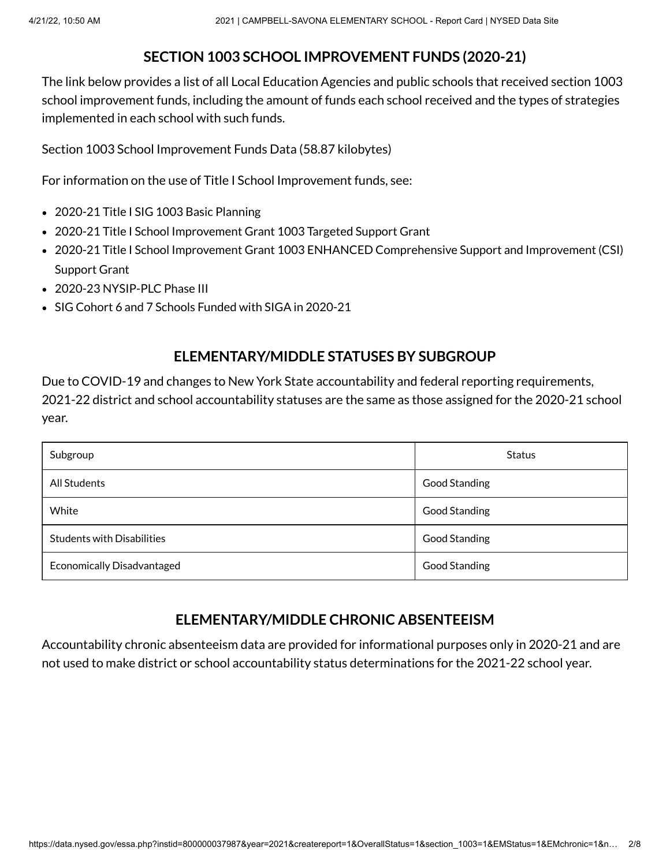#### **SECTION 1003 SCHOOL IMPROVEMENT FUNDS (2020-21)**

The link below provides a list of all Local Education Agencies and public schools that received section 1003 school improvement funds, including the amount of funds each school received and the types of strategies implemented in each school with such funds.

Section 1003 School [Improvement](https://data.nysed.gov/files/essa/20-21/1003.xlsx) Funds Data (58.87 kilobytes)

For information on the use of Title I School Improvement funds, see:

- 2020-21 Title I SIG 1003 [Basic Planning](http://www.p12.nysed.gov/funding/currentapps.html#siga2020-21)
- 2020-21 Title I School Improvement Grant 1003 [Targeted Support](http://www.p12.nysed.gov/funding/currentapps.html#sig-targeted-2020-21) Grant
- 2020-21 Title I School Improvement Grant 1003 ENHANCED [Comprehensive](http://www.p12.nysed.gov/funding/currentapps.html#sig-csi-2020) Support and Improvement (CSI) Support Grant
- 2020-23 [NYSIP-PLC](http://www.p12.nysed.gov/funding/currentapps.html#nysip-plc-phase-3) Phase III
- SIG Cohort 6 and 7 Schools [Funded with](http://www.p12.nysed.gov/oisr/) SIGA in 2020-21

#### **ELEMENTARY/MIDDLE STATUSES BY SUBGROUP**

Due to COVID-19 and changes to New York State accountability and federal reporting requirements, 2021-22 district and school accountability statuses are the same as those assigned for the 2020-21 school year.

| Subgroup                          | <b>Status</b>        |
|-----------------------------------|----------------------|
| All Students                      | <b>Good Standing</b> |
| White                             | <b>Good Standing</b> |
| <b>Students with Disabilities</b> | Good Standing        |
| <b>Economically Disadvantaged</b> | <b>Good Standing</b> |

#### **ELEMENTARY/MIDDLE CHRONIC ABSENTEEISM**

Accountability chronic absenteeism data are provided for informational purposes only in 2020-21 and are not used to make district or school accountability status determinations for the 2021-22 school year.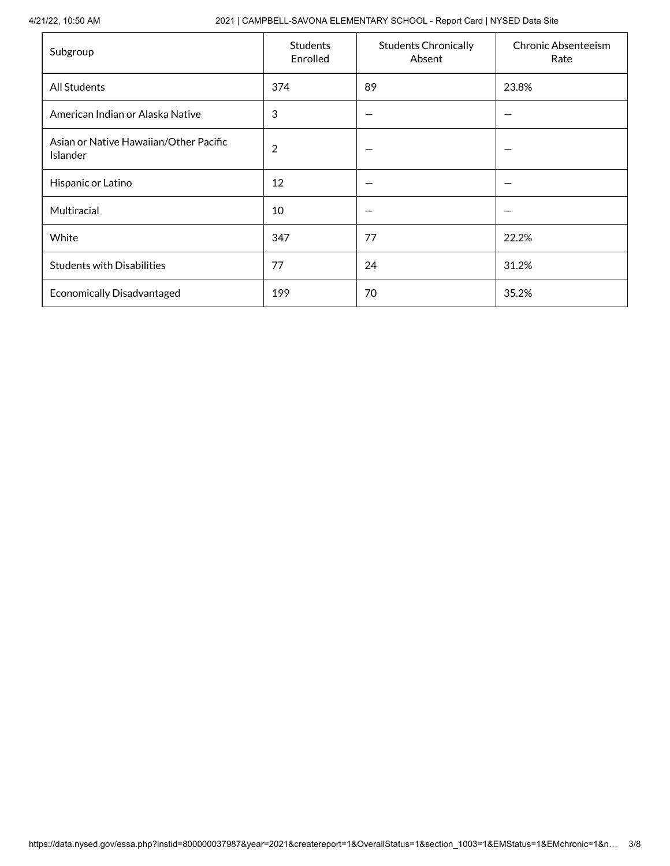4/21/22, 10:50 AM 2021 | CAMPBELL-SAVONA ELEMENTARY SCHOOL - Report Card | NYSED Data Site

| Subgroup                                           | <b>Students</b><br>Enrolled | <b>Students Chronically</b><br>Absent | <b>Chronic Absenteeism</b><br>Rate |
|----------------------------------------------------|-----------------------------|---------------------------------------|------------------------------------|
| <b>All Students</b>                                | 374                         | 89                                    | 23.8%                              |
| American Indian or Alaska Native                   | 3                           |                                       |                                    |
| Asian or Native Hawaiian/Other Pacific<br>Islander | $\overline{2}$              |                                       |                                    |
| Hispanic or Latino                                 | 12                          |                                       |                                    |
| Multiracial                                        | 10                          |                                       |                                    |
| White                                              | 347                         | 77                                    | 22.2%                              |
| <b>Students with Disabilities</b>                  | 77                          | 24                                    | 31.2%                              |
| <b>Economically Disadvantaged</b>                  | 199                         | 70                                    | 35.2%                              |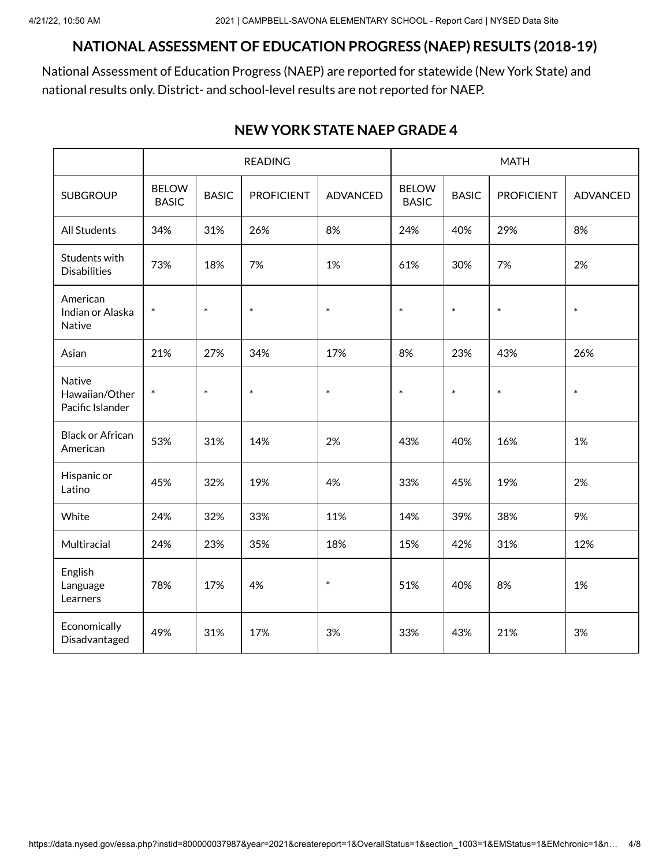#### **NATIONAL ASSESSMENT OF EDUCATION PROGRESS (NAEP) RESULTS (2018-19)**

National Assessment of Education Progress (NAEP) are reported for statewide (New York State) and national results only. District- and school-level results are not reported for NAEP.

|                                              | <b>READING</b>               |              |                   | <b>MATH</b>     |                              |              |                   |                 |
|----------------------------------------------|------------------------------|--------------|-------------------|-----------------|------------------------------|--------------|-------------------|-----------------|
| <b>SUBGROUP</b>                              | <b>BELOW</b><br><b>BASIC</b> | <b>BASIC</b> | <b>PROFICIENT</b> | <b>ADVANCED</b> | <b>BELOW</b><br><b>BASIC</b> | <b>BASIC</b> | <b>PROFICIENT</b> | <b>ADVANCED</b> |
| <b>All Students</b>                          | 34%                          | 31%          | 26%               | 8%              | 24%                          | 40%          | 29%               | 8%              |
| Students with<br><b>Disabilities</b>         | 73%                          | 18%          | 7%                | 1%              | 61%                          | 30%          | 7%                | 2%              |
| American<br>Indian or Alaska<br>Native       | $\ast$                       | $\ast$       | $\ast$            | $\ast$          | $\ast$                       | $\ast$       | $\ast$            | $\ast$          |
| Asian                                        | 21%                          | 27%          | 34%               | 17%             | 8%                           | 23%          | 43%               | 26%             |
| Native<br>Hawaiian/Other<br>Pacific Islander | $\ast$                       | $\ast$       | $\ast$            | $\ast$          | $\ast$                       | $\ast$       | $\ast$            | $\ast$          |
| <b>Black or African</b><br>American          | 53%                          | 31%          | 14%               | 2%              | 43%                          | 40%          | 16%               | 1%              |
| Hispanic or<br>Latino                        | 45%                          | 32%          | 19%               | 4%              | 33%                          | 45%          | 19%               | 2%              |
| White                                        | 24%                          | 32%          | 33%               | 11%             | 14%                          | 39%          | 38%               | 9%              |
| Multiracial                                  | 24%                          | 23%          | 35%               | 18%             | 15%                          | 42%          | 31%               | 12%             |
| English<br>Language<br>Learners              | 78%                          | 17%          | 4%                | $\ast$          | 51%                          | 40%          | 8%                | 1%              |
| Economically<br>Disadvantaged                | 49%                          | 31%          | 17%               | 3%              | 33%                          | 43%          | 21%               | 3%              |

#### **NEW YORK STATE NAEP GRADE 4**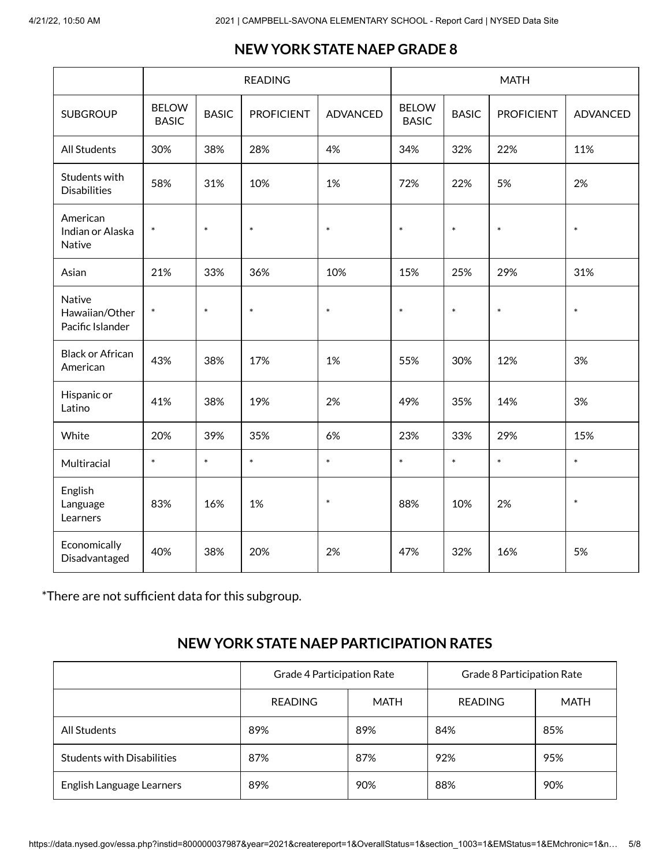# **NEW YORK STATE NAEP GRADE 8**

|                                                     | <b>READING</b>               |              |                   | <b>MATH</b>     |                              |              |                   |                 |
|-----------------------------------------------------|------------------------------|--------------|-------------------|-----------------|------------------------------|--------------|-------------------|-----------------|
| <b>SUBGROUP</b>                                     | <b>BELOW</b><br><b>BASIC</b> | <b>BASIC</b> | <b>PROFICIENT</b> | <b>ADVANCED</b> | <b>BELOW</b><br><b>BASIC</b> | <b>BASIC</b> | <b>PROFICIENT</b> | <b>ADVANCED</b> |
| <b>All Students</b>                                 | 30%                          | 38%          | 28%               | 4%              | 34%                          | 32%          | 22%               | 11%             |
| Students with<br><b>Disabilities</b>                | 58%                          | 31%          | 10%               | 1%              | 72%                          | 22%          | 5%                | 2%              |
| American<br>Indian or Alaska<br>Native              | $\ast$                       | $\ast$       | $\ast$            | $\ast$          | $\ast$                       | $\ast$       | $\ast$            | $\ast$          |
| Asian                                               | 21%                          | 33%          | 36%               | 10%             | 15%                          | 25%          | 29%               | 31%             |
| <b>Native</b><br>Hawaiian/Other<br>Pacific Islander | $\ast$                       | $\ast$       | $\ast$            | $\ast$          | $\ast$                       | $\ast$       | $\ast$            | $\ast$          |
| <b>Black or African</b><br>American                 | 43%                          | 38%          | 17%               | 1%              | 55%                          | 30%          | 12%               | 3%              |
| Hispanic or<br>Latino                               | 41%                          | 38%          | 19%               | 2%              | 49%                          | 35%          | 14%               | 3%              |
| White                                               | 20%                          | 39%          | 35%               | 6%              | 23%                          | 33%          | 29%               | 15%             |
| Multiracial                                         | $\ast$                       | $\ast$       | $\ast$            | $\ast$          | $\ast$                       | $\ast$       | $\ast$            | $\ast$          |
| English<br>Language<br>Learners                     | 83%                          | 16%          | 1%                | $\ast$          | 88%                          | 10%          | 2%                | $\ast$          |
| Economically<br>Disadvantaged                       | 40%                          | 38%          | 20%               | 2%              | 47%                          | 32%          | 16%               | 5%              |

\*There are not sufficient data for this subgroup.

# **NEW YORK STATE NAEP PARTICIPATION RATES**

|                                   | Grade 4 Participation Rate |     | Grade 8 Participation Rate |             |  |
|-----------------------------------|----------------------------|-----|----------------------------|-------------|--|
|                                   | MATH<br><b>READING</b>     |     | <b>READING</b>             | <b>MATH</b> |  |
| All Students                      | 89%                        | 89% | 84%                        | 85%         |  |
| <b>Students with Disabilities</b> | 87%                        | 87% | 92%                        | 95%         |  |
| English Language Learners         | 89%                        | 90% | 88%                        | 90%         |  |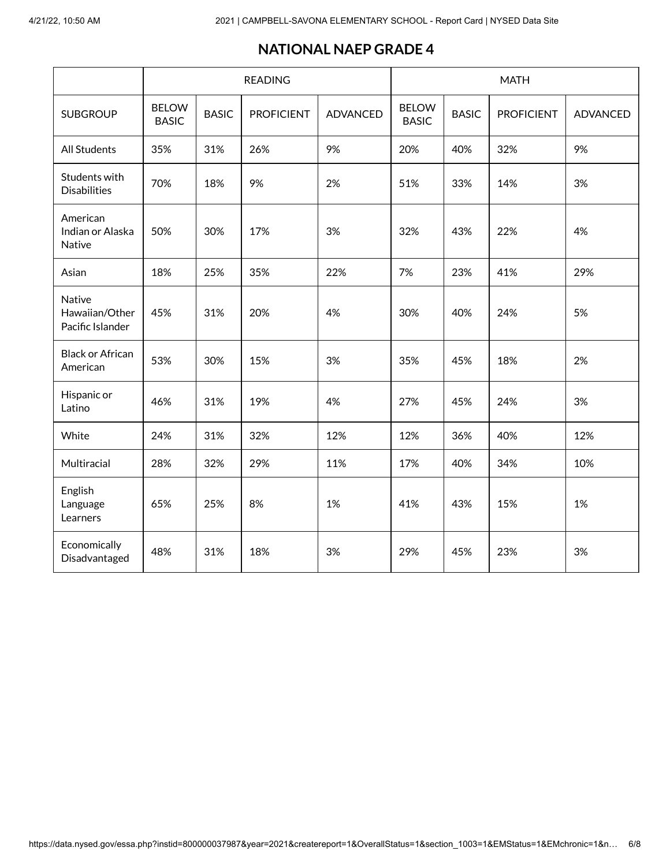#### **NATIONAL NAEP GRADE 4**

|                                              | <b>READING</b>               |              |                   | <b>MATH</b>     |                              |              |                   |                 |
|----------------------------------------------|------------------------------|--------------|-------------------|-----------------|------------------------------|--------------|-------------------|-----------------|
| <b>SUBGROUP</b>                              | <b>BELOW</b><br><b>BASIC</b> | <b>BASIC</b> | <b>PROFICIENT</b> | <b>ADVANCED</b> | <b>BELOW</b><br><b>BASIC</b> | <b>BASIC</b> | <b>PROFICIENT</b> | <b>ADVANCED</b> |
| <b>All Students</b>                          | 35%                          | 31%          | 26%               | 9%              | 20%                          | 40%          | 32%               | 9%              |
| Students with<br><b>Disabilities</b>         | 70%                          | 18%          | 9%                | 2%              | 51%                          | 33%          | 14%               | 3%              |
| American<br>Indian or Alaska<br>Native       | 50%                          | 30%          | 17%               | 3%              | 32%                          | 43%          | 22%               | 4%              |
| Asian                                        | 18%                          | 25%          | 35%               | 22%             | 7%                           | 23%          | 41%               | 29%             |
| Native<br>Hawaiian/Other<br>Pacific Islander | 45%                          | 31%          | 20%               | 4%              | 30%                          | 40%          | 24%               | 5%              |
| <b>Black or African</b><br>American          | 53%                          | 30%          | 15%               | 3%              | 35%                          | 45%          | 18%               | 2%              |
| Hispanic or<br>Latino                        | 46%                          | 31%          | 19%               | 4%              | 27%                          | 45%          | 24%               | 3%              |
| White                                        | 24%                          | 31%          | 32%               | 12%             | 12%                          | 36%          | 40%               | 12%             |
| Multiracial                                  | 28%                          | 32%          | 29%               | 11%             | 17%                          | 40%          | 34%               | 10%             |
| English<br>Language<br>Learners              | 65%                          | 25%          | 8%                | 1%              | 41%                          | 43%          | 15%               | 1%              |
| Economically<br>Disadvantaged                | 48%                          | 31%          | 18%               | 3%              | 29%                          | 45%          | 23%               | 3%              |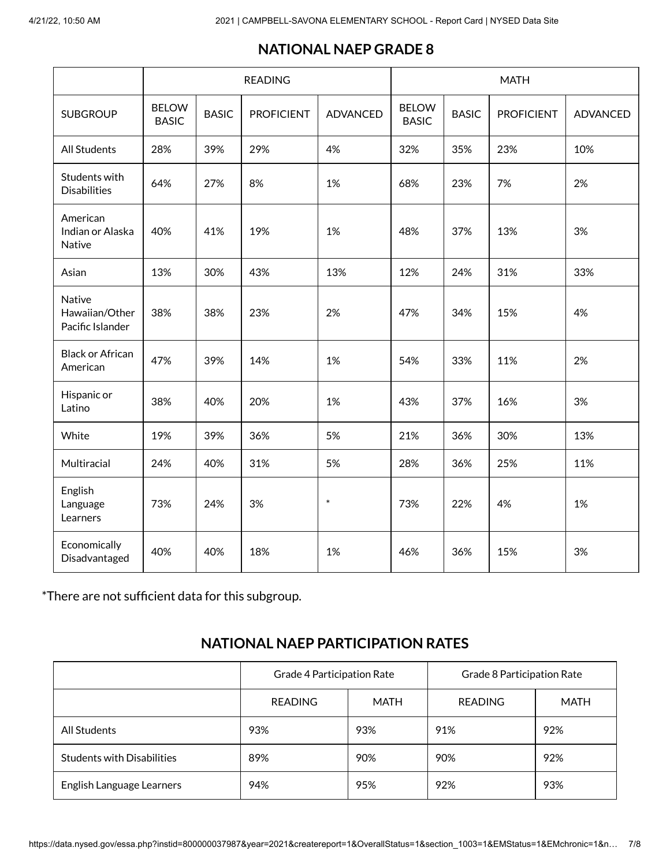# **NATIONAL NAEP GRADE 8**

|                                              | <b>READING</b>               |              |                   | <b>MATH</b>     |                              |              |                   |                 |
|----------------------------------------------|------------------------------|--------------|-------------------|-----------------|------------------------------|--------------|-------------------|-----------------|
| <b>SUBGROUP</b>                              | <b>BELOW</b><br><b>BASIC</b> | <b>BASIC</b> | <b>PROFICIENT</b> | <b>ADVANCED</b> | <b>BELOW</b><br><b>BASIC</b> | <b>BASIC</b> | <b>PROFICIENT</b> | <b>ADVANCED</b> |
| <b>All Students</b>                          | 28%                          | 39%          | 29%               | 4%              | 32%                          | 35%          | 23%               | 10%             |
| Students with<br><b>Disabilities</b>         | 64%                          | 27%          | 8%                | 1%              | 68%                          | 23%          | 7%                | 2%              |
| American<br>Indian or Alaska<br>Native       | 40%                          | 41%          | 19%               | 1%              | 48%                          | 37%          | 13%               | 3%              |
| Asian                                        | 13%                          | 30%          | 43%               | 13%             | 12%                          | 24%          | 31%               | 33%             |
| Native<br>Hawaiian/Other<br>Pacific Islander | 38%                          | 38%          | 23%               | 2%              | 47%                          | 34%          | 15%               | 4%              |
| <b>Black or African</b><br>American          | 47%                          | 39%          | 14%               | 1%              | 54%                          | 33%          | 11%               | 2%              |
| Hispanic or<br>Latino                        | 38%                          | 40%          | 20%               | 1%              | 43%                          | 37%          | 16%               | 3%              |
| White                                        | 19%                          | 39%          | 36%               | 5%              | 21%                          | 36%          | 30%               | 13%             |
| Multiracial                                  | 24%                          | 40%          | 31%               | 5%              | 28%                          | 36%          | 25%               | 11%             |
| English<br>Language<br>Learners              | 73%                          | 24%          | 3%                | $\ast$          | 73%                          | 22%          | 4%                | 1%              |
| Economically<br>Disadvantaged                | 40%                          | 40%          | 18%               | 1%              | 46%                          | 36%          | 15%               | 3%              |

\*There are not sufficient data for this subgroup.

# **NATIONAL NAEP PARTICIPATION RATES**

|                                   | Grade 4 Participation Rate |     | Grade 8 Participation Rate |             |  |
|-----------------------------------|----------------------------|-----|----------------------------|-------------|--|
|                                   | MATH<br><b>READING</b>     |     | <b>READING</b>             | <b>MATH</b> |  |
| All Students                      | 93%                        | 93% | 91%                        | 92%         |  |
| <b>Students with Disabilities</b> | 89%                        | 90% | 90%                        | 92%         |  |
| English Language Learners         | 94%                        | 95% | 92%                        | 93%         |  |